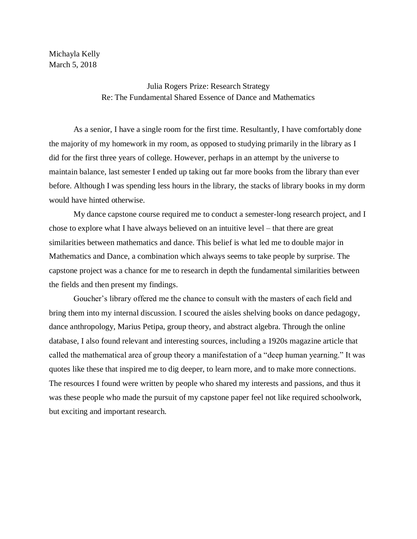Michayla Kelly March 5, 2018

> Julia Rogers Prize: Research Strategy Re: The Fundamental Shared Essence of Dance and Mathematics

As a senior, I have a single room for the first time. Resultantly, I have comfortably done the majority of my homework in my room, as opposed to studying primarily in the library as I did for the first three years of college. However, perhaps in an attempt by the universe to maintain balance, last semester I ended up taking out far more books from the library than ever before. Although I was spending less hours in the library, the stacks of library books in my dorm would have hinted otherwise.

My dance capstone course required me to conduct a semester-long research project, and I chose to explore what I have always believed on an intuitive level – that there are great similarities between mathematics and dance. This belief is what led me to double major in Mathematics and Dance, a combination which always seems to take people by surprise. The capstone project was a chance for me to research in depth the fundamental similarities between the fields and then present my findings.

Goucher's library offered me the chance to consult with the masters of each field and bring them into my internal discussion. I scoured the aisles shelving books on dance pedagogy, dance anthropology, Marius Petipa, group theory, and abstract algebra. Through the online database, I also found relevant and interesting sources, including a 1920s magazine article that called the mathematical area of group theory a manifestation of a "deep human yearning." It was quotes like these that inspired me to dig deeper, to learn more, and to make more connections. The resources I found were written by people who shared my interests and passions, and thus it was these people who made the pursuit of my capstone paper feel not like required schoolwork, but exciting and important research.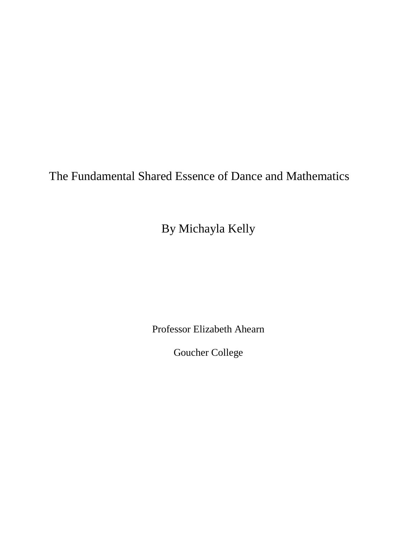The Fundamental Shared Essence of Dance and Mathematics

By Michayla Kelly

Professor Elizabeth Ahearn

Goucher College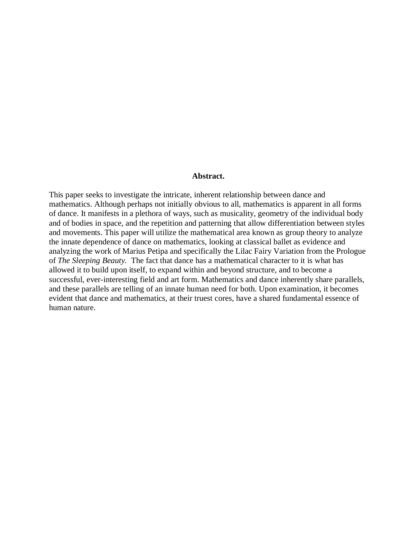#### **Abstract.**

This paper seeks to investigate the intricate, inherent relationship between dance and mathematics. Although perhaps not initially obvious to all, mathematics is apparent in all forms of dance. It manifests in a plethora of ways, such as musicality, geometry of the individual body and of bodies in space, and the repetition and patterning that allow differentiation between styles and movements. This paper will utilize the mathematical area known as group theory to analyze the innate dependence of dance on mathematics, looking at classical ballet as evidence and analyzing the work of Marius Petipa and specifically the Lilac Fairy Variation from the Prologue of *The Sleeping Beauty.* The fact that dance has a mathematical character to it is what has allowed it to build upon itself, to expand within and beyond structure, and to become a successful, ever-interesting field and art form. Mathematics and dance inherently share parallels, and these parallels are telling of an innate human need for both. Upon examination, it becomes evident that dance and mathematics, at their truest cores, have a shared fundamental essence of human nature.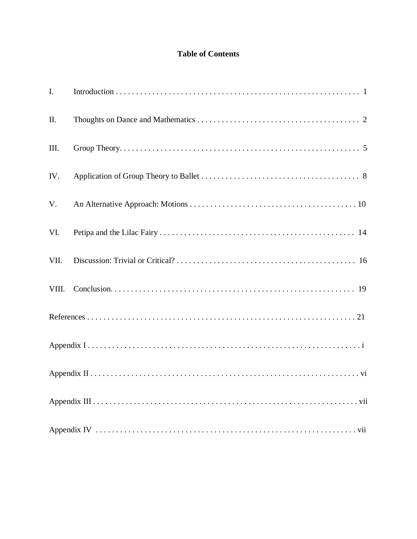# **Table of Contents**

| I.    |  |
|-------|--|
| II.   |  |
| III.  |  |
| IV.   |  |
| V.    |  |
| VI.   |  |
| VII.  |  |
| VIII. |  |
|       |  |
|       |  |
|       |  |
|       |  |
|       |  |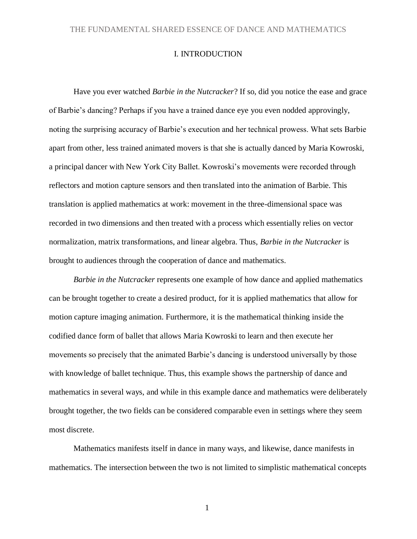## I. INTRODUCTION

Have you ever watched *Barbie in the Nutcracker*? If so, did you notice the ease and grace of Barbie's dancing? Perhaps if you have a trained dance eye you even nodded approvingly, noting the surprising accuracy of Barbie's execution and her technical prowess. What sets Barbie apart from other, less trained animated movers is that she is actually danced by Maria Kowroski, a principal dancer with New York City Ballet. Kowroski's movements were recorded through reflectors and motion capture sensors and then translated into the animation of Barbie. This translation is applied mathematics at work: movement in the three-dimensional space was recorded in two dimensions and then treated with a process which essentially relies on vector normalization, matrix transformations, and linear algebra. Thus, *Barbie in the Nutcracker* is brought to audiences through the cooperation of dance and mathematics.

*Barbie in the Nutcracker* represents one example of how dance and applied mathematics can be brought together to create a desired product, for it is applied mathematics that allow for motion capture imaging animation. Furthermore, it is the mathematical thinking inside the codified dance form of ballet that allows Maria Kowroski to learn and then execute her movements so precisely that the animated Barbie's dancing is understood universally by those with knowledge of ballet technique. Thus, this example shows the partnership of dance and mathematics in several ways, and while in this example dance and mathematics were deliberately brought together, the two fields can be considered comparable even in settings where they seem most discrete.

Mathematics manifests itself in dance in many ways, and likewise, dance manifests in mathematics. The intersection between the two is not limited to simplistic mathematical concepts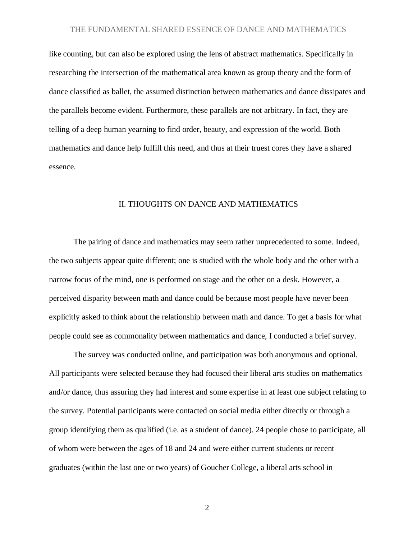like counting, but can also be explored using the lens of abstract mathematics. Specifically in researching the intersection of the mathematical area known as group theory and the form of dance classified as ballet, the assumed distinction between mathematics and dance dissipates and the parallels become evident. Furthermore, these parallels are not arbitrary. In fact, they are telling of a deep human yearning to find order, beauty, and expression of the world. Both mathematics and dance help fulfill this need, and thus at their truest cores they have a shared essence.

### II. THOUGHTS ON DANCE AND MATHEMATICS

The pairing of dance and mathematics may seem rather unprecedented to some. Indeed, the two subjects appear quite different; one is studied with the whole body and the other with a narrow focus of the mind, one is performed on stage and the other on a desk. However, a perceived disparity between math and dance could be because most people have never been explicitly asked to think about the relationship between math and dance. To get a basis for what people could see as commonality between mathematics and dance, I conducted a brief survey.

The survey was conducted online, and participation was both anonymous and optional. All participants were selected because they had focused their liberal arts studies on mathematics and/or dance, thus assuring they had interest and some expertise in at least one subject relating to the survey. Potential participants were contacted on social media either directly or through a group identifying them as qualified (i.e. as a student of dance). 24 people chose to participate, all of whom were between the ages of 18 and 24 and were either current students or recent graduates (within the last one or two years) of Goucher College, a liberal arts school in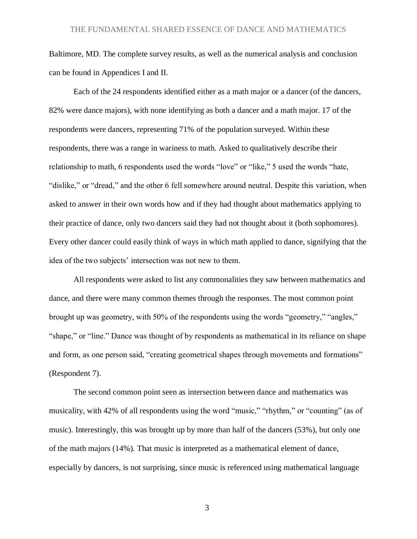Baltimore, MD. The complete survey results, as well as the numerical analysis and conclusion can be found in Appendices I and II.

Each of the 24 respondents identified either as a math major or a dancer (of the dancers, 82% were dance majors), with none identifying as both a dancer and a math major. 17 of the respondents were dancers, representing 71% of the population surveyed. Within these respondents, there was a range in wariness to math. Asked to qualitatively describe their relationship to math, 6 respondents used the words "love" or "like," 5 used the words "hate, "dislike," or "dread," and the other 6 fell somewhere around neutral. Despite this variation, when asked to answer in their own words how and if they had thought about mathematics applying to their practice of dance, only two dancers said they had not thought about it (both sophomores). Every other dancer could easily think of ways in which math applied to dance, signifying that the idea of the two subjects' intersection was not new to them.

All respondents were asked to list any commonalities they saw between mathematics and dance, and there were many common themes through the responses. The most common point brought up was geometry, with 50% of the respondents using the words "geometry," "angles," "shape," or "line." Dance was thought of by respondents as mathematical in its reliance on shape and form, as one person said, "creating geometrical shapes through movements and formations" (Respondent 7).

The second common point seen as intersection between dance and mathematics was musicality, with 42% of all respondents using the word "music," "rhythm," or "counting" (as of music). Interestingly, this was brought up by more than half of the dancers (53%), but only one of the math majors (14%). That music is interpreted as a mathematical element of dance, especially by dancers, is not surprising, since music is referenced using mathematical language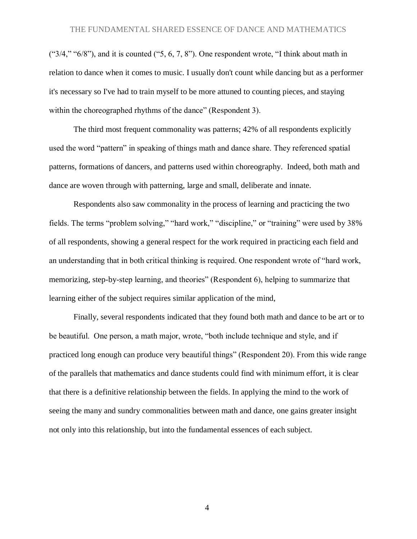$($ "3/4," " $6/8$ "), and it is counted ("5, 6, 7, 8"). One respondent wrote, "I think about math in relation to dance when it comes to music. I usually don't count while dancing but as a performer it's necessary so I've had to train myself to be more attuned to counting pieces, and staying within the choreographed rhythms of the dance" (Respondent 3).

The third most frequent commonality was patterns; 42% of all respondents explicitly used the word "pattern" in speaking of things math and dance share. They referenced spatial patterns, formations of dancers, and patterns used within choreography. Indeed, both math and dance are woven through with patterning, large and small, deliberate and innate.

Respondents also saw commonality in the process of learning and practicing the two fields. The terms "problem solving," "hard work," "discipline," or "training" were used by 38% of all respondents, showing a general respect for the work required in practicing each field and an understanding that in both critical thinking is required. One respondent wrote of "hard work, memorizing, step-by-step learning, and theories" (Respondent 6), helping to summarize that learning either of the subject requires similar application of the mind,

Finally, several respondents indicated that they found both math and dance to be art or to be beautiful. One person, a math major, wrote, "both include technique and style, and if practiced long enough can produce very beautiful things" (Respondent 20). From this wide range of the parallels that mathematics and dance students could find with minimum effort, it is clear that there is a definitive relationship between the fields. In applying the mind to the work of seeing the many and sundry commonalities between math and dance, one gains greater insight not only into this relationship, but into the fundamental essences of each subject.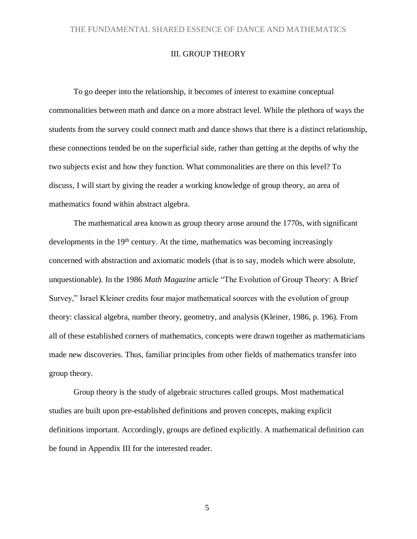# III. GROUP THEORY

To go deeper into the relationship, it becomes of interest to examine conceptual commonalities between math and dance on a more abstract level. While the plethora of ways the students from the survey could connect math and dance shows that there is a distinct relationship, these connections tended be on the superficial side, rather than getting at the depths of why the two subjects exist and how they function. What commonalities are there on this level? To discuss, I will start by giving the reader a working knowledge of group theory, an area of mathematics found within abstract algebra.

The mathematical area known as group theory arose around the 1770s, with significant developments in the 19<sup>th</sup> century. At the time, mathematics was becoming increasingly concerned with abstraction and axiomatic models (that is to say, models which were absolute, unquestionable). In the 1986 *Math Magazine* article "The Evolution of Group Theory: A Brief Survey," Israel Kleiner credits four major mathematical sources with the evolution of group theory: classical algebra, number theory, geometry, and analysis (Kleiner, 1986, p. 196). From all of these established corners of mathematics, concepts were drawn together as mathematicians made new discoveries. Thus, familiar principles from other fields of mathematics transfer into group theory.

Group theory is the study of algebraic structures called groups. Most mathematical studies are built upon pre-established definitions and proven concepts, making explicit definitions important. Accordingly, groups are defined explicitly. A mathematical definition can be found in Appendix III for the interested reader.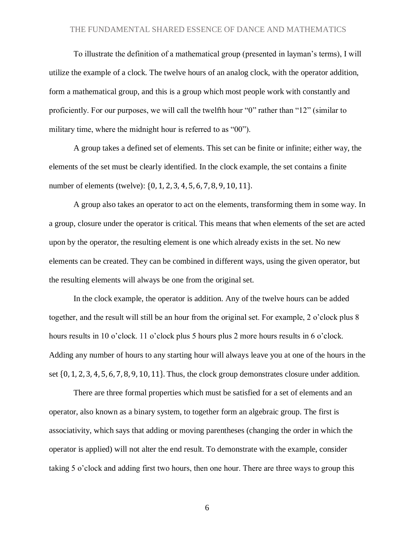To illustrate the definition of a mathematical group (presented in layman's terms), I will utilize the example of a clock. The twelve hours of an analog clock, with the operator addition, form a mathematical group, and this is a group which most people work with constantly and proficiently. For our purposes, we will call the twelfth hour "0" rather than "12" (similar to military time, where the midnight hour is referred to as "00").

A group takes a defined set of elements. This set can be finite or infinite; either way, the elements of the set must be clearly identified. In the clock example, the set contains a finite number of elements (twelve): {0, 1, 2, 3, 4, 5, 6, 7, 8, 9, 10, 11}.

A group also takes an operator to act on the elements, transforming them in some way. In a group, closure under the operator is critical. This means that when elements of the set are acted upon by the operator, the resulting element is one which already exists in the set. No new elements can be created. They can be combined in different ways, using the given operator, but the resulting elements will always be one from the original set.

In the clock example, the operator is addition. Any of the twelve hours can be added together, and the result will still be an hour from the original set. For example, 2 o'clock plus 8 hours results in 10 o'clock. 11 o'clock plus 5 hours plus 2 more hours results in 6 o'clock. Adding any number of hours to any starting hour will always leave you at one of the hours in the set {0, 1, 2, 3, 4, 5, 6, 7, 8, 9, 10, 11}. Thus, the clock group demonstrates closure under addition.

There are three formal properties which must be satisfied for a set of elements and an operator, also known as a binary system, to together form an algebraic group. The first is associativity, which says that adding or moving parentheses (changing the order in which the operator is applied) will not alter the end result. To demonstrate with the example, consider taking 5 o'clock and adding first two hours, then one hour. There are three ways to group this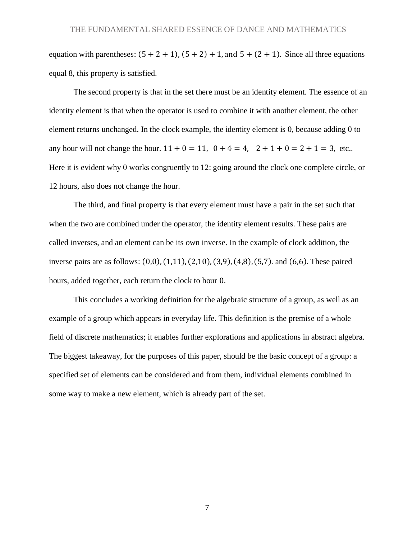equation with parentheses:  $(5 + 2 + 1)$ ,  $(5 + 2) + 1$ , and  $5 + (2 + 1)$ . Since all three equations equal 8, this property is satisfied.

The second property is that in the set there must be an identity element. The essence of an identity element is that when the operator is used to combine it with another element, the other element returns unchanged. In the clock example, the identity element is 0, because adding 0 to any hour will not change the hour.  $11 + 0 = 11$ ,  $0 + 4 = 4$ ,  $2 + 1 + 0 = 2 + 1 = 3$ , etc.. Here it is evident why 0 works congruently to 12: going around the clock one complete circle, or 12 hours, also does not change the hour.

The third, and final property is that every element must have a pair in the set such that when the two are combined under the operator, the identity element results. These pairs are called inverses, and an element can be its own inverse. In the example of clock addition, the inverse pairs are as follows: (0,0), (1,11), (2,10), (3,9), (4,8), (5,7). and (6,6). These paired hours, added together, each return the clock to hour 0.

This concludes a working definition for the algebraic structure of a group, as well as an example of a group which appears in everyday life. This definition is the premise of a whole field of discrete mathematics; it enables further explorations and applications in abstract algebra. The biggest takeaway, for the purposes of this paper, should be the basic concept of a group: a specified set of elements can be considered and from them, individual elements combined in some way to make a new element, which is already part of the set.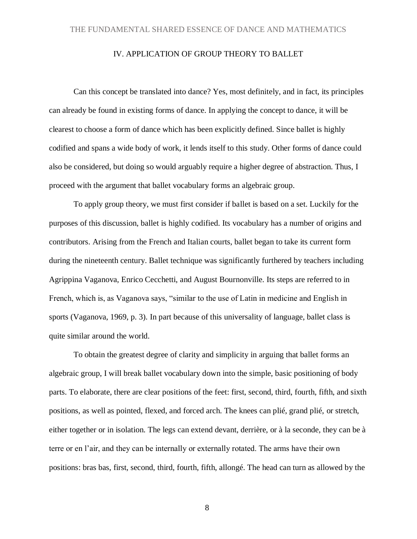## IV. APPLICATION OF GROUP THEORY TO BALLET

Can this concept be translated into dance? Yes, most definitely, and in fact, its principles can already be found in existing forms of dance. In applying the concept to dance, it will be clearest to choose a form of dance which has been explicitly defined. Since ballet is highly codified and spans a wide body of work, it lends itself to this study. Other forms of dance could also be considered, but doing so would arguably require a higher degree of abstraction. Thus, I proceed with the argument that ballet vocabulary forms an algebraic group.

To apply group theory, we must first consider if ballet is based on a set. Luckily for the purposes of this discussion, ballet is highly codified. Its vocabulary has a number of origins and contributors. Arising from the French and Italian courts, ballet began to take its current form during the nineteenth century. Ballet technique was significantly furthered by teachers including Agrippina Vaganova, Enrico Cecchetti, and August Bournonville. Its steps are referred to in French, which is, as Vaganova says, "similar to the use of Latin in medicine and English in sports (Vaganova, 1969, p. 3). In part because of this universality of language, ballet class is quite similar around the world.

To obtain the greatest degree of clarity and simplicity in arguing that ballet forms an algebraic group, I will break ballet vocabulary down into the simple, basic positioning of body parts. To elaborate, there are clear positions of the feet: first, second, third, fourth, fifth, and sixth positions, as well as pointed, flexed, and forced arch. The knees can plié, grand plié, or stretch, either together or in isolation. The legs can extend devant, derrière, or à la seconde, they can be à terre or en l'air, and they can be internally or externally rotated. The arms have their own positions: bras bas, first, second, third, fourth, fifth, allongé. The head can turn as allowed by the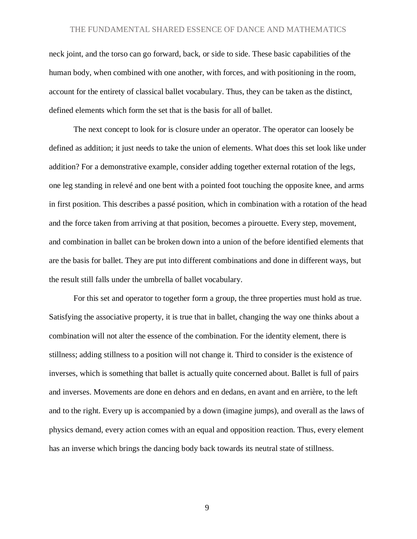neck joint, and the torso can go forward, back, or side to side. These basic capabilities of the human body, when combined with one another, with forces, and with positioning in the room, account for the entirety of classical ballet vocabulary. Thus, they can be taken as the distinct, defined elements which form the set that is the basis for all of ballet.

The next concept to look for is closure under an operator. The operator can loosely be defined as addition; it just needs to take the union of elements. What does this set look like under addition? For a demonstrative example, consider adding together external rotation of the legs, one leg standing in relevé and one bent with a pointed foot touching the opposite knee, and arms in first position. This describes a passé position, which in combination with a rotation of the head and the force taken from arriving at that position, becomes a pirouette. Every step, movement, and combination in ballet can be broken down into a union of the before identified elements that are the basis for ballet. They are put into different combinations and done in different ways, but the result still falls under the umbrella of ballet vocabulary.

For this set and operator to together form a group, the three properties must hold as true. Satisfying the associative property, it is true that in ballet, changing the way one thinks about a combination will not alter the essence of the combination. For the identity element, there is stillness; adding stillness to a position will not change it. Third to consider is the existence of inverses, which is something that ballet is actually quite concerned about. Ballet is full of pairs and inverses. Movements are done en dehors and en dedans, en avant and en arrière, to the left and to the right. Every up is accompanied by a down (imagine jumps), and overall as the laws of physics demand, every action comes with an equal and opposition reaction. Thus, every element has an inverse which brings the dancing body back towards its neutral state of stillness.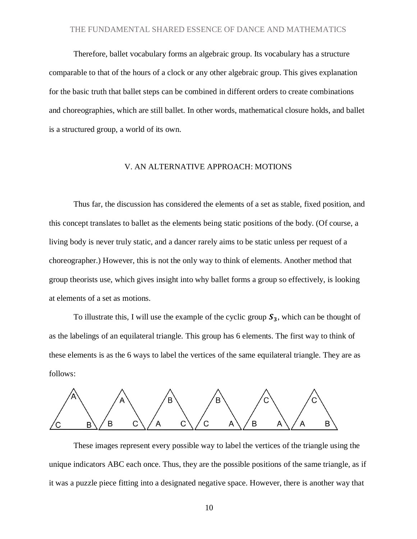Therefore, ballet vocabulary forms an algebraic group. Its vocabulary has a structure comparable to that of the hours of a clock or any other algebraic group. This gives explanation for the basic truth that ballet steps can be combined in different orders to create combinations and choreographies, which are still ballet. In other words, mathematical closure holds, and ballet is a structured group, a world of its own.

#### V. AN ALTERNATIVE APPROACH: MOTIONS

Thus far, the discussion has considered the elements of a set as stable, fixed position, and this concept translates to ballet as the elements being static positions of the body. (Of course, a living body is never truly static, and a dancer rarely aims to be static unless per request of a choreographer.) However, this is not the only way to think of elements. Another method that group theorists use, which gives insight into why ballet forms a group so effectively, is looking at elements of a set as motions.

To illustrate this, I will use the example of the cyclic group  $S_3$ , which can be thought of as the labelings of an equilateral triangle. This group has 6 elements. The first way to think of these elements is as the 6 ways to label the vertices of the same equilateral triangle. They are as follows:



These images represent every possible way to label the vertices of the triangle using the unique indicators ABC each once. Thus, they are the possible positions of the same triangle, as if it was a puzzle piece fitting into a designated negative space. However, there is another way that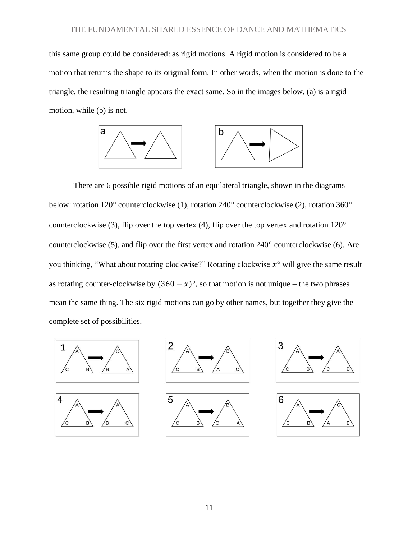this same group could be considered: as rigid motions. A rigid motion is considered to be a motion that returns the shape to its original form. In other words, when the motion is done to the triangle, the resulting triangle appears the exact same. So in the images below, (a) is a rigid motion, while (b) is not.



There are 6 possible rigid motions of an equilateral triangle, shown in the diagrams below: rotation  $120^{\circ}$  counterclockwise (1), rotation  $240^{\circ}$  counterclockwise (2), rotation  $360^{\circ}$ counterclockwise (3), flip over the top vertex (4), flip over the top vertex and rotation  $120^{\circ}$ counterclockwise  $(5)$ , and flip over the first vertex and rotation  $240^{\circ}$  counterclockwise  $(6)$ . Are you thinking, "What about rotating clockwise?" Rotating clockwise  $x^{\circ}$  will give the same result as rotating counter-clockwise by  $(360 - x)$ °, so that motion is not unique – the two phrases mean the same thing. The six rigid motions can go by other names, but together they give the complete set of possibilities.









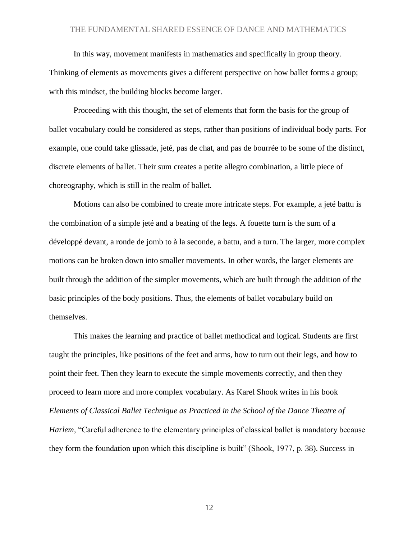In this way, movement manifests in mathematics and specifically in group theory.

Thinking of elements as movements gives a different perspective on how ballet forms a group; with this mindset, the building blocks become larger.

Proceeding with this thought, the set of elements that form the basis for the group of ballet vocabulary could be considered as steps, rather than positions of individual body parts. For example, one could take glissade, jeté, pas de chat, and pas de bourrée to be some of the distinct, discrete elements of ballet. Their sum creates a petite allegro combination, a little piece of choreography, which is still in the realm of ballet.

Motions can also be combined to create more intricate steps. For example, a jeté battu is the combination of a simple jeté and a beating of the legs. A fouette turn is the sum of a développé devant, a ronde de jomb to à la seconde, a battu, and a turn. The larger, more complex motions can be broken down into smaller movements. In other words, the larger elements are built through the addition of the simpler movements, which are built through the addition of the basic principles of the body positions. Thus, the elements of ballet vocabulary build on themselves.

This makes the learning and practice of ballet methodical and logical. Students are first taught the principles, like positions of the feet and arms, how to turn out their legs, and how to point their feet. Then they learn to execute the simple movements correctly, and then they proceed to learn more and more complex vocabulary. As Karel Shook writes in his book *Elements of Classical Ballet Technique as Practiced in the School of the Dance Theatre of Harlem,* "Careful adherence to the elementary principles of classical ballet is mandatory because they form the foundation upon which this discipline is built" (Shook, 1977, p. 38). Success in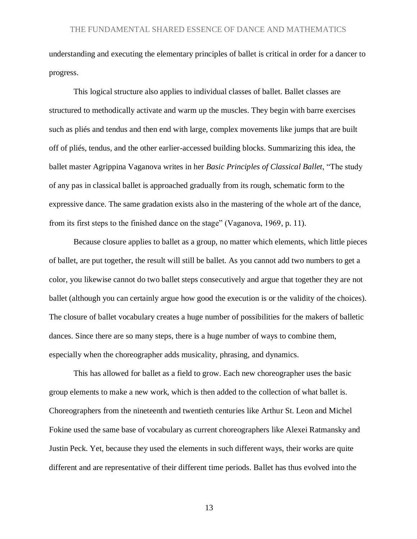understanding and executing the elementary principles of ballet is critical in order for a dancer to progress.

This logical structure also applies to individual classes of ballet. Ballet classes are structured to methodically activate and warm up the muscles. They begin with barre exercises such as pliés and tendus and then end with large, complex movements like jumps that are built off of pliés, tendus, and the other earlier-accessed building blocks. Summarizing this idea, the ballet master Agrippina Vaganova writes in her *Basic Principles of Classical Ballet*, "The study of any pas in classical ballet is approached gradually from its rough, schematic form to the expressive dance. The same gradation exists also in the mastering of the whole art of the dance, from its first steps to the finished dance on the stage" (Vaganova, 1969*,* p. 11).

Because closure applies to ballet as a group, no matter which elements, which little pieces of ballet, are put together, the result will still be ballet. As you cannot add two numbers to get a color, you likewise cannot do two ballet steps consecutively and argue that together they are not ballet (although you can certainly argue how good the execution is or the validity of the choices). The closure of ballet vocabulary creates a huge number of possibilities for the makers of balletic dances. Since there are so many steps, there is a huge number of ways to combine them, especially when the choreographer adds musicality, phrasing, and dynamics.

This has allowed for ballet as a field to grow. Each new choreographer uses the basic group elements to make a new work, which is then added to the collection of what ballet is. Choreographers from the nineteenth and twentieth centuries like Arthur St. Leon and Michel Fokine used the same base of vocabulary as current choreographers like Alexei Ratmansky and Justin Peck. Yet, because they used the elements in such different ways, their works are quite different and are representative of their different time periods. Ballet has thus evolved into the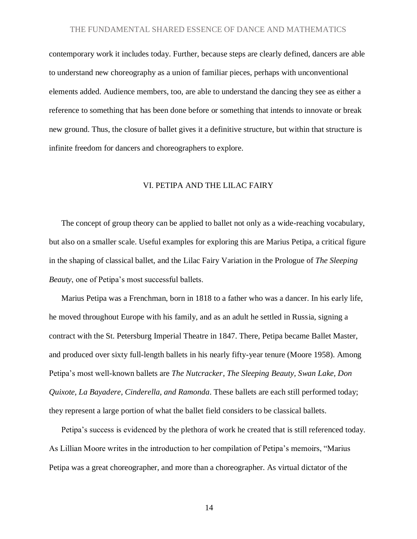contemporary work it includes today. Further, because steps are clearly defined, dancers are able to understand new choreography as a union of familiar pieces, perhaps with unconventional elements added. Audience members, too, are able to understand the dancing they see as either a reference to something that has been done before or something that intends to innovate or break new ground. Thus, the closure of ballet gives it a definitive structure, but within that structure is infinite freedom for dancers and choreographers to explore.

### VI. PETIPA AND THE LILAC FAIRY

The concept of group theory can be applied to ballet not only as a wide-reaching vocabulary, but also on a smaller scale. Useful examples for exploring this are Marius Petipa, a critical figure in the shaping of classical ballet, and the Lilac Fairy Variation in the Prologue of *The Sleeping Beauty*, one of Petipa's most successful ballets.

Marius Petipa was a Frenchman, born in 1818 to a father who was a dancer. In his early life, he moved throughout Europe with his family, and as an adult he settled in Russia, signing a contract with the St. Petersburg Imperial Theatre in 1847. There, Petipa became Ballet Master, and produced over sixty full-length ballets in his nearly fifty-year tenure (Moore 1958). Among Petipa's most well-known ballets are *The Nutcracker*, *The Sleeping Beauty, Swan Lake, Don Quixote, La Bayadere, Cinderella, and Ramonda*. These ballets are each still performed today; they represent a large portion of what the ballet field considers to be classical ballets.

Petipa's success is evidenced by the plethora of work he created that is still referenced today. As Lillian Moore writes in the introduction to her compilation of Petipa's memoirs, "Marius Petipa was a great choreographer, and more than a choreographer. As virtual dictator of the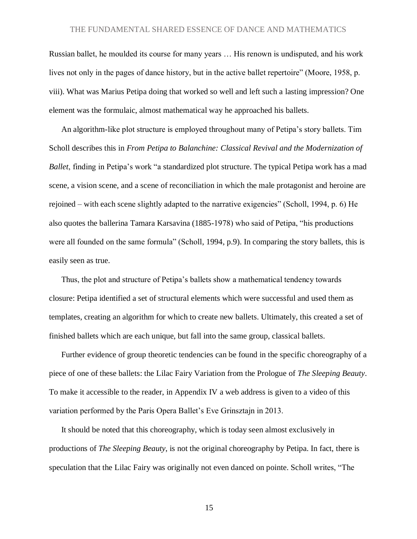Russian ballet, he moulded its course for many years … His renown is undisputed, and his work lives not only in the pages of dance history, but in the active ballet repertoire" (Moore, 1958, p. viii). What was Marius Petipa doing that worked so well and left such a lasting impression? One element was the formulaic, almost mathematical way he approached his ballets.

An algorithm-like plot structure is employed throughout many of Petipa's story ballets. Tim Scholl describes this in *From Petipa to Balanchine: Classical Revival and the Modernization of Ballet*, finding in Petipa's work "a standardized plot structure. The typical Petipa work has a mad scene, a vision scene, and a scene of reconciliation in which the male protagonist and heroine are rejoined – with each scene slightly adapted to the narrative exigencies" (Scholl, 1994, p. 6) He also quotes the ballerina Tamara Karsavina (1885-1978) who said of Petipa, "his productions were all founded on the same formula" (Scholl, 1994, p.9). In comparing the story ballets, this is easily seen as true.

Thus, the plot and structure of Petipa's ballets show a mathematical tendency towards closure: Petipa identified a set of structural elements which were successful and used them as templates, creating an algorithm for which to create new ballets. Ultimately, this created a set of finished ballets which are each unique, but fall into the same group, classical ballets.

Further evidence of group theoretic tendencies can be found in the specific choreography of a piece of one of these ballets: the Lilac Fairy Variation from the Prologue of *The Sleeping Beauty*. To make it accessible to the reader, in Appendix IV a web address is given to a video of this variation performed by the Paris Opera Ballet's Eve Grinsztajn in 2013.

It should be noted that this choreography, which is today seen almost exclusively in productions of *The Sleeping Beauty*, is not the original choreography by Petipa. In fact, there is speculation that the Lilac Fairy was originally not even danced on pointe. Scholl writes, "The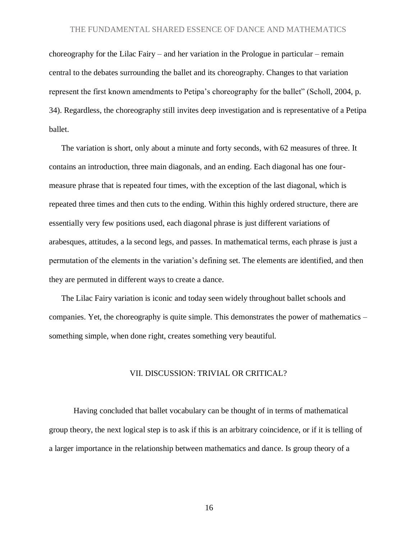choreography for the Lilac Fairy – and her variation in the Prologue in particular – remain central to the debates surrounding the ballet and its choreography. Changes to that variation represent the first known amendments to Petipa's choreography for the ballet" (Scholl, 2004, p. 34). Regardless, the choreography still invites deep investigation and is representative of a Petipa ballet.

The variation is short, only about a minute and forty seconds, with 62 measures of three. It contains an introduction, three main diagonals, and an ending. Each diagonal has one fourmeasure phrase that is repeated four times, with the exception of the last diagonal, which is repeated three times and then cuts to the ending. Within this highly ordered structure, there are essentially very few positions used, each diagonal phrase is just different variations of arabesques, attitudes, a la second legs, and passes. In mathematical terms, each phrase is just a permutation of the elements in the variation's defining set. The elements are identified, and then they are permuted in different ways to create a dance.

The Lilac Fairy variation is iconic and today seen widely throughout ballet schools and companies. Yet, the choreography is quite simple. This demonstrates the power of mathematics – something simple, when done right, creates something very beautiful.

#### VII. DISCUSSION: TRIVIAL OR CRITICAL?

Having concluded that ballet vocabulary can be thought of in terms of mathematical group theory, the next logical step is to ask if this is an arbitrary coincidence, or if it is telling of a larger importance in the relationship between mathematics and dance. Is group theory of a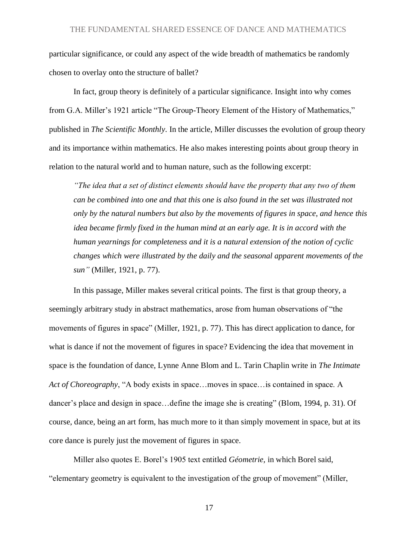particular significance, or could any aspect of the wide breadth of mathematics be randomly chosen to overlay onto the structure of ballet?

In fact, group theory is definitely of a particular significance. Insight into why comes from G.A. Miller's 1921 article "The Group-Theory Element of the History of Mathematics," published in *The Scientific Monthly*. In the article, Miller discusses the evolution of group theory and its importance within mathematics. He also makes interesting points about group theory in relation to the natural world and to human nature, such as the following excerpt:

*"The idea that a set of distinct elements should have the property that any two of them can be combined into one and that this one is also found in the set was illustrated not only by the natural numbers but also by the movements of figures in space, and hence this idea became firmly fixed in the human mind at an early age. It is in accord with the human yearnings for completeness and it is a natural extension of the notion of cyclic changes which were illustrated by the daily and the seasonal apparent movements of the sun"* (Miller, 1921, p. 77).

In this passage, Miller makes several critical points. The first is that group theory, a seemingly arbitrary study in abstract mathematics, arose from human observations of "the movements of figures in space" (Miller, 1921, p. 77). This has direct application to dance, for what is dance if not the movement of figures in space? Evidencing the idea that movement in space is the foundation of dance, Lynne Anne Blom and L. Tarin Chaplin write in *The Intimate Act of Choreography*, "A body exists in space…moves in space…is contained in space. A dancer's place and design in space…define the image she is creating" (Blom, 1994, p. 31). Of course, dance, being an art form, has much more to it than simply movement in space, but at its core dance is purely just the movement of figures in space.

Miller also quotes E. Borel's 1905 text entitled *Géometrie,* in which Borel said, "elementary geometry is equivalent to the investigation of the group of movement" (Miller,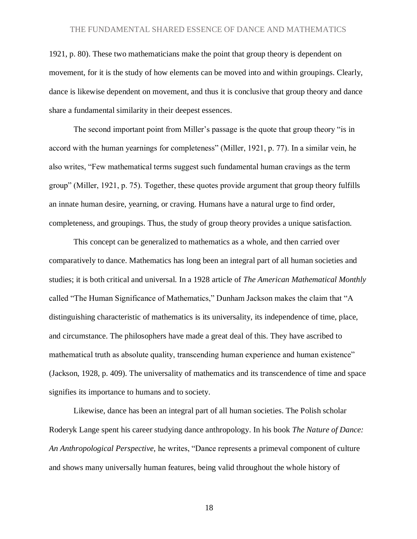1921, p. 80). These two mathematicians make the point that group theory is dependent on movement, for it is the study of how elements can be moved into and within groupings. Clearly, dance is likewise dependent on movement, and thus it is conclusive that group theory and dance share a fundamental similarity in their deepest essences.

The second important point from Miller's passage is the quote that group theory "is in accord with the human yearnings for completeness" (Miller, 1921, p. 77). In a similar vein, he also writes, "Few mathematical terms suggest such fundamental human cravings as the term group" (Miller, 1921, p. 75). Together, these quotes provide argument that group theory fulfills an innate human desire, yearning, or craving. Humans have a natural urge to find order, completeness, and groupings. Thus, the study of group theory provides a unique satisfaction.

This concept can be generalized to mathematics as a whole, and then carried over comparatively to dance. Mathematics has long been an integral part of all human societies and studies; it is both critical and universal. In a 1928 article of *The American Mathematical Monthly* called "The Human Significance of Mathematics," Dunham Jackson makes the claim that "A distinguishing characteristic of mathematics is its universality, its independence of time, place, and circumstance. The philosophers have made a great deal of this. They have ascribed to mathematical truth as absolute quality, transcending human experience and human existence" (Jackson, 1928, p. 409). The universality of mathematics and its transcendence of time and space signifies its importance to humans and to society.

Likewise, dance has been an integral part of all human societies. The Polish scholar Roderyk Lange spent his career studying dance anthropology. In his book *The Nature of Dance: An Anthropological Perspective,* he writes, "Dance represents a primeval component of culture and shows many universally human features, being valid throughout the whole history of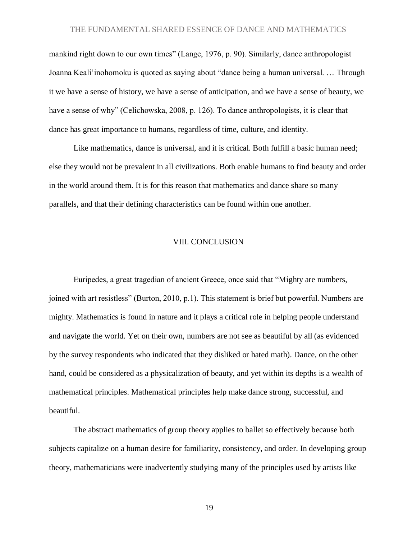mankind right down to our own times" (Lange, 1976, p. 90). Similarly, dance anthropologist Joanna Keali'inohomoku is quoted as saying about "dance being a human universal. … Through it we have a sense of history, we have a sense of anticipation, and we have a sense of beauty, we have a sense of why" (Celichowska, 2008, p. 126). To dance anthropologists, it is clear that dance has great importance to humans, regardless of time, culture, and identity.

Like mathematics, dance is universal, and it is critical. Both fulfill a basic human need; else they would not be prevalent in all civilizations. Both enable humans to find beauty and order in the world around them. It is for this reason that mathematics and dance share so many parallels, and that their defining characteristics can be found within one another.

#### VIII. CONCLUSION

Euripedes, a great tragedian of ancient Greece, once said that "Mighty are numbers, joined with art resistless" (Burton, 2010, p.1). This statement is brief but powerful. Numbers are mighty. Mathematics is found in nature and it plays a critical role in helping people understand and navigate the world. Yet on their own, numbers are not see as beautiful by all (as evidenced by the survey respondents who indicated that they disliked or hated math). Dance, on the other hand, could be considered as a physicalization of beauty, and yet within its depths is a wealth of mathematical principles. Mathematical principles help make dance strong, successful, and beautiful.

The abstract mathematics of group theory applies to ballet so effectively because both subjects capitalize on a human desire for familiarity, consistency, and order. In developing group theory, mathematicians were inadvertently studying many of the principles used by artists like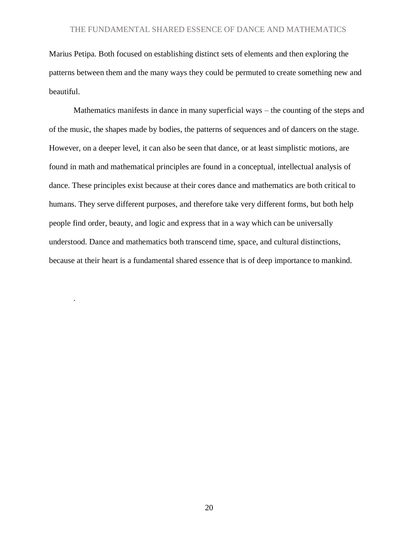Marius Petipa. Both focused on establishing distinct sets of elements and then exploring the patterns between them and the many ways they could be permuted to create something new and beautiful.

Mathematics manifests in dance in many superficial ways – the counting of the steps and of the music, the shapes made by bodies, the patterns of sequences and of dancers on the stage. However, on a deeper level, it can also be seen that dance, or at least simplistic motions, are found in math and mathematical principles are found in a conceptual, intellectual analysis of dance. These principles exist because at their cores dance and mathematics are both critical to humans. They serve different purposes, and therefore take very different forms, but both help people find order, beauty, and logic and express that in a way which can be universally understood. Dance and mathematics both transcend time, space, and cultural distinctions, because at their heart is a fundamental shared essence that is of deep importance to mankind.

.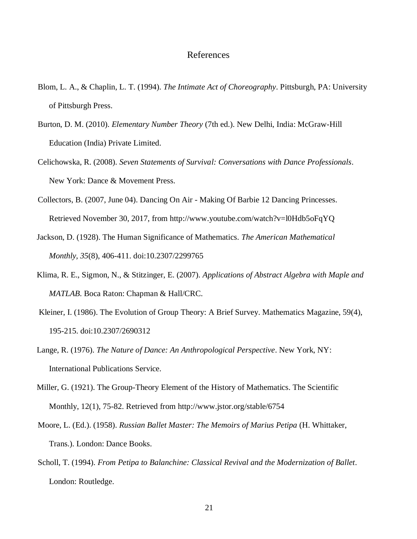# References

- Blom, L. A., & Chaplin, L. T. (1994). *The Intimate Act of Choreography*. Pittsburgh, PA: University of Pittsburgh Press.
- Burton, D. M. (2010). *Elementary Number Theory* (7th ed.). New Delhi, India: McGraw-Hill Education (India) Private Limited.
- Celichowska, R. (2008). *Seven Statements of Survival: Conversations with Dance Professionals*. New York: Dance & Movement Press.
- Collectors, B. (2007, June 04). Dancing On Air Making Of Barbie 12 Dancing Princesses. Retrieved November 30, 2017, from http://www.youtube.com/watch?v=l0Hdb5oFqYQ
- Jackson, D. (1928). The Human Significance of Mathematics. *The American Mathematical Monthly, 35*(8), 406-411. doi:10.2307/2299765
- Klima, R. E., Sigmon, N., & Stitzinger, E. (2007). *Applications of Abstract Algebra with Maple and MATLAB*. Boca Raton: Chapman & Hall/CRC.
- Kleiner, I. (1986). The Evolution of Group Theory: A Brief Survey. Mathematics Magazine, 59(4), 195-215. doi:10.2307/2690312
- Lange, R. (1976). *The Nature of Dance: An Anthropological Perspective*. New York, NY: International Publications Service.
- Miller, G. (1921). The Group-Theory Element of the History of Mathematics. The Scientific Monthly, 12(1), 75-82. Retrieved from http://www.jstor.org/stable/6754
- Moore, L. (Ed.). (1958). *Russian Ballet Master: The Memoirs of Marius Petipa* (H. Whittaker, Trans.). London: Dance Books.
- Scholl, T. (1994). *From Petipa to Balanchine: Classical Revival and the Modernization of Ballet*. London: Routledge.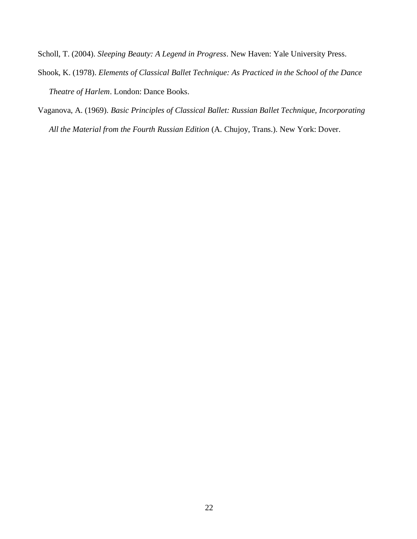Scholl, T. (2004). *Sleeping Beauty: A Legend in Progress*. New Haven: Yale University Press.

- Shook, K. (1978). *Elements of Classical Ballet Technique: As Practiced in the School of the Dance Theatre of Harlem*. London: Dance Books.
- Vaganova, A. (1969). *Basic Principles of Classical Ballet: Russian Ballet Technique, Incorporating All the Material from the Fourth Russian Edition* (A. Chujoy, Trans.). New York: Dover.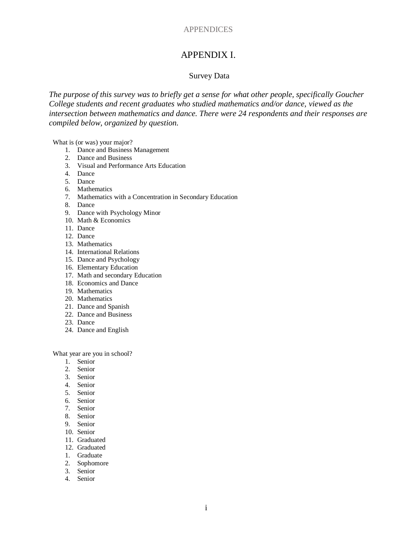## APPENDICES

# APPENDIX I.

#### Survey Data

*The purpose of this survey was to briefly get a sense for what other people, specifically Goucher College students and recent graduates who studied mathematics and/or dance, viewed as the intersection between mathematics and dance. There were 24 respondents and their responses are compiled below, organized by question.*

What is (or was) your major?

- 1. Dance and Business Management
- 2. Dance and Business
- 3. Visual and Performance Arts Education
- 4. Dance
- 5. Dance
- 6. Mathematics
- 7. Mathematics with a Concentration in Secondary Education
- 8. Dance
- 9. Dance with Psychology Minor
- 10. Math & Economics
- 11. Dance
- 12. Dance
- 13. Mathematics
- 14. International Relations
- 15. Dance and Psychology
- 16. Elementary Education
- 17. Math and secondary Education
- 18. Economics and Dance
- 19. Mathematics
- 20. Mathematics
- 21. Dance and Spanish
- 22. Dance and Business
- 23. Dance
- 24. Dance and English

What year are you in school?

- 1. Senior
- 2. Senior
- 3. Senior
- 4. Senior
- 5. Senior
- 6. Senior
- 7. Senior
- 8. Senior
- 9. Senior
- 10. Senior
- 11. Graduated
- 12. Graduated
- 1. Graduate
- 2. Sophomore
- 3. Senior
- 4. Senior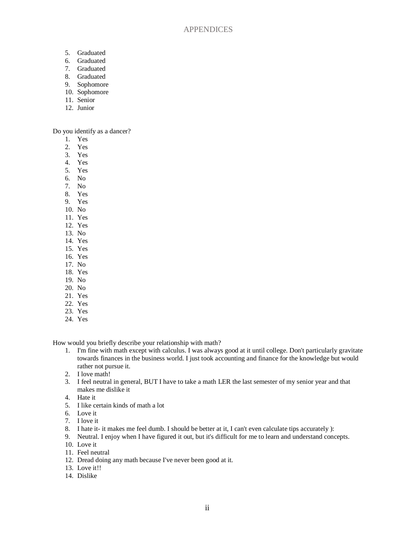- 5. Graduated
- 6. Graduated
- 7. Graduated
- 8. Graduated
- 9. Sophomore
- 10. Sophomore
- 11. Senior
- 12. Junior

Do you identify as a dancer?

- 1. Yes
- 2. Yes
- 3. Yes
- 4. Yes
- 5. Yes
- 6. No
- 7. No
- 8. Yes
- 9. Yes
- 10. No 11. Yes
- 12. Yes
- 13. No
- 14. Yes
- 15. Yes
- 16. Yes
- 17. No
- 18. Yes
- 19. No
- 20. No
- 21. Yes
- 22. Yes
- 23. Yes
- 24. Yes

How would you briefly describe your relationship with math?

- 1. I'm fine with math except with calculus. I was always good at it until college. Don't particularly gravitate towards finances in the business world. I just took accounting and finance for the knowledge but would rather not pursue it.
- 2. I love math!
- 3. I feel neutral in general, BUT I have to take a math LER the last semester of my senior year and that makes me dislike it
- 4. Hate it
- 5. I like certain kinds of math a lot
- 6. Love it
- 7. I love it
- 8. I hate it- it makes me feel dumb. I should be better at it, I can't even calculate tips accurately ):
- 9. Neutral. I enjoy when I have figured it out, but it's difficult for me to learn and understand concepts.
- 10 Love it
- 11. Feel neutral
- 12. Dread doing any math because I've never been good at it.
- 13. Love it!!
- 14. Dislike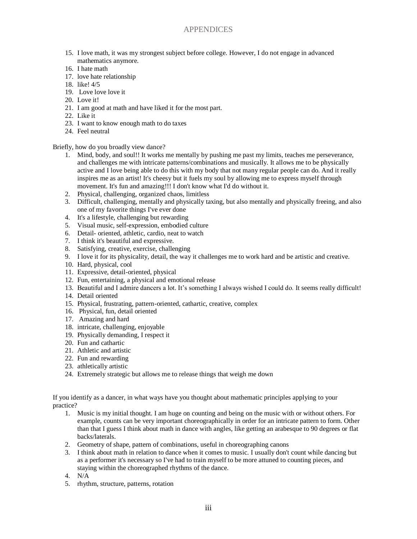# APPENDICES

- 15. I love math, it was my strongest subject before college. However, I do not engage in advanced mathematics anymore.
- 16. I hate math
- 17. love hate relationship
- 18. like! 4/5
- 19. Love love love it
- 20. Love it!
- 21. I am good at math and have liked it for the most part.
- 22. Like it
- 23. I want to know enough math to do taxes
- 24. Feel neutral

#### Briefly, how do you broadly view dance?

- 1. Mind, body, and soul!! It works me mentally by pushing me past my limits, teaches me perseverance, and challenges me with intricate patterns/combinations and musically. It allows me to be physically active and I love being able to do this with my body that not many regular people can do. And it really inspires me as an artist! It's cheesy but it fuels my soul by allowing me to express myself through movement. It's fun and amazing!!! I don't know what I'd do without it.
- 2. Physical, challenging, organized chaos, limitless
- 3. Difficult, challenging, mentally and physically taxing, but also mentally and physically freeing, and also one of my favorite things I've ever done
- 4. It's a lifestyle, challenging but rewarding
- 5. Visual music, self-expression, embodied culture
- 6. Detail- oriented, athletic, cardio, neat to watch
- 7. I think it's beautiful and expressive.
- 8. Satisfying, creative, exercise, challenging
- 9. I love it for its physicality, detail, the way it challenges me to work hard and be artistic and creative.
- 10. Hard, physical, cool
- 11. Expressive, detail-oriented, physical
- 12. Fun, entertaining, a physical and emotional release
- 13. Beautiful and I admire dancers a lot. It's something I always wished I could do. It seems really difficult!
- 14. Detail oriented
- 15. Physical, frustrating, pattern-oriented, cathartic, creative, complex
- 16. Physical, fun, detail oriented
- 17. Amazing and hard
- 18. intricate, challenging, enjoyable
- 19. Physically demanding, I respect it
- 20. Fun and cathartic
- 21. Athletic and artistic
- 22. Fun and rewarding
- 23. athletically artistic
- 24. Extremely strategic but allows me to release things that weigh me down

If you identify as a dancer, in what ways have you thought about mathematic principles applying to your practice?

- 1. Music is my initial thought. I am huge on counting and being on the music with or without others. For example, counts can be very important choreographically in order for an intricate pattern to form. Other than that I guess I think about math in dance with angles, like getting an arabesque to 90 degrees or flat backs/laterals.
- 2. Geometry of shape, pattern of combinations, useful in choreographing canons
- 3. I think about math in relation to dance when it comes to music. I usually don't count while dancing but as a performer it's necessary so I've had to train myself to be more attuned to counting pieces, and staying within the choreographed rhythms of the dance.
- 4. N/A
- 5. rhythm, structure, patterns, rotation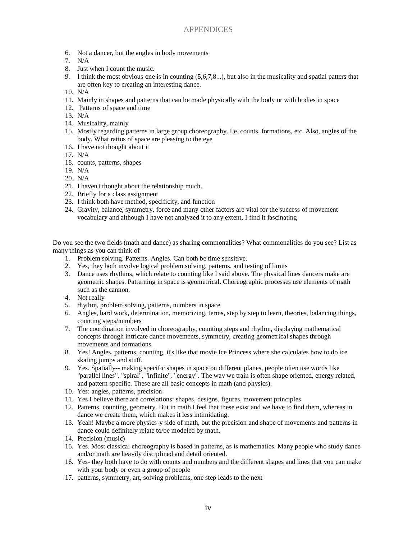- 6. Not a dancer, but the angles in body movements
- 7. N/A
- 8. Just when I count the music.
- 9. I think the most obvious one is in counting (5,6,7,8...), but also in the musicality and spatial patters that are often key to creating an interesting dance.
- 10. N/A
- 11. Mainly in shapes and patterns that can be made physically with the body or with bodies in space
- 12. Patterns of space and time
- 13. N/A
- 14. Musicality, mainly
- 15. Mostly regarding patterns in large group choreography. I.e. counts, formations, etc. Also, angles of the body. What ratios of space are pleasing to the eye
- 16. I have not thought about it
- 17. N/A
- 18. counts, patterns, shapes
- 19. N/A
- 20. N/A
- 21. I haven't thought about the relationship much.
- 22. Briefly for a class assignment
- 23. I think both have method, specificity, and function
- 24. Gravity, balance, symmetry, force and many other factors are vital for the success of movement vocabulary and although I have not analyzed it to any extent, I find it fascinating

Do you see the two fields (math and dance) as sharing commonalities? What commonalities do you see? List as many things as you can think of

- 1. Problem solving. Patterns. Angles. Can both be time sensitive.
- 2. Yes, they both involve logical problem solving, patterns, and testing of limits
- 3. Dance uses rhythms, which relate to counting like I said above. The physical lines dancers make are geometric shapes. Patterning in space is geometrical. Choreographic processes use elements of math such as the cannon.
- 4. Not really
- 5. rhythm, problem solving, patterns, numbers in space
- 6. Angles, hard work, determination, memorizing, terms, step by step to learn, theories, balancing things, counting steps/numbers
- 7. The coordination involved in choreography, counting steps and rhythm, displaying mathematical concepts through intricate dance movements, symmetry, creating geometrical shapes through movements and formations
- 8. Yes! Angles, patterns, counting, it's like that movie Ice Princess where she calculates how to do ice skating jumps and stuff.
- 9. Yes. Spatially-- making specific shapes in space on different planes, people often use words like "parallel lines", "spiral", "infinite", "energy". The way we train is often shape oriented, energy related, and pattern specific. These are all basic concepts in math (and physics).
- 10. Yes: angles, patterns, precision
- 11. Yes I believe there are correlations: shapes, designs, figures, movement principles
- 12. Patterns, counting, geometry. But in math I feel that these exist and we have to find them, whereas in dance we create them, which makes it less intimidating.
- 13. Yeah! Maybe a more physics-y side of math, but the precision and shape of movements and patterns in dance could definitely relate to/be modeled by math.
- 14. Precision (music)
- 15. Yes. Most classical choreography is based in patterns, as is mathematics. Many people who study dance and/or math are heavily disciplined and detail oriented.
- 16. Yes- they both have to do with counts and numbers and the different shapes and lines that you can make with your body or even a group of people
- 17. patterns, symmetry, art, solving problems, one step leads to the next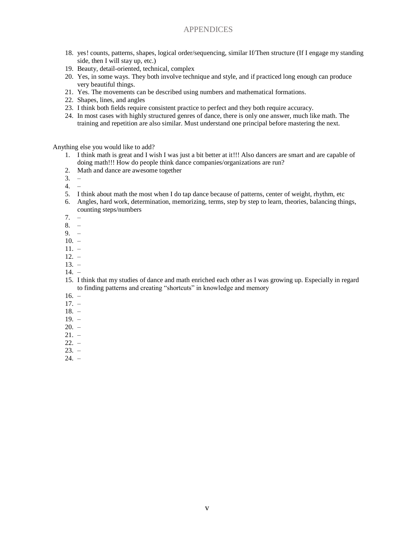## APPENDICES

- 18. yes! counts, patterns, shapes, logical order/sequencing, similar If/Then structure (If I engage my standing side, then I will stay up, etc.)
- 19. Beauty, detail-oriented, technical, complex
- 20. Yes, in some ways. They both involve technique and style, and if practiced long enough can produce very beautiful things.
- 21. Yes. The movements can be described using numbers and mathematical formations.
- 22. Shapes, lines, and angles
- 23. I think both fields require consistent practice to perfect and they both require accuracy.
- 24. In most cases with highly structured genres of dance, there is only one answer, much like math. The training and repetition are also similar. Must understand one principal before mastering the next.

Anything else you would like to add?

- 1. I think math is great and I wish I was just a bit better at it!!! Also dancers are smart and are capable of doing math!!! How do people think dance companies/organizations are run?
- 2. Math and dance are awesome together
- $3. -$
- 4. –
- 5. I think about math the most when I do tap dance because of patterns, center of weight, rhythm, etc
- 6. Angles, hard work, determination, memorizing, terms, step by step to learn, theories, balancing things, counting steps/numbers
- 7. –
- 8. –
- 9. –
- $10. -$
- 11. –
- $12. -$
- $13. -$ 14. –
- 15. I think that my studies of dance and math enriched each other as I was growing up. Especially in regard to finding patterns and creating "shortcuts" in knowledge and memory
- 16. –
- 17. –
- 18. –
- 19. –
- $20. -$
- 21. –
- $22. -$
- $23. -$
- 24. –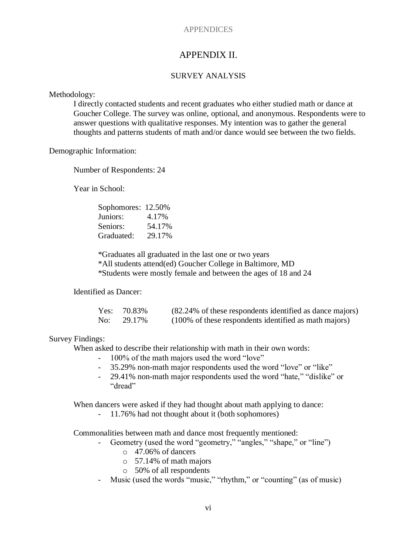# **APPENDICES**

# APPENDIX II.

# SURVEY ANALYSIS

Methodology:

I directly contacted students and recent graduates who either studied math or dance at Goucher College. The survey was online, optional, and anonymous. Respondents were to answer questions with qualitative responses. My intention was to gather the general thoughts and patterns students of math and/or dance would see between the two fields.

Demographic Information:

Number of Respondents: 24

Year in School:

| Sophomores: 12.50% |        |
|--------------------|--------|
| Juniors:           | 4.17%  |
| Seniors:           | 54.17% |
| Graduated:         | 29.17% |

\*Graduates all graduated in the last one or two years \*All students attend(ed) Goucher College in Baltimore, MD \*Students were mostly female and between the ages of 18 and 24

Identified as Dancer:

|     | Yes: $70.83\%$ | (82.24% of these respondents identified as dance majors) |
|-----|----------------|----------------------------------------------------------|
| No: | 29.17%         | (100% of these respondents identified as math majors)    |

# Survey Findings:

When asked to describe their relationship with math in their own words:

- 100% of the math majors used the word "love"
- 35.29% non-math major respondents used the word "love" or "like"
- 29.41% non-math major respondents used the word "hate," "dislike" or "dread"

When dancers were asked if they had thought about math applying to dance:

- 11.76% had not thought about it (both sophomores)

Commonalities between math and dance most frequently mentioned:

- Geometry (used the word "geometry," "angles," "shape," or "line")
	- o 47.06% of dancers
	- o 57.14% of math majors
	- o 50% of all respondents
- Music (used the words "music," "rhythm," or "counting" (as of music)